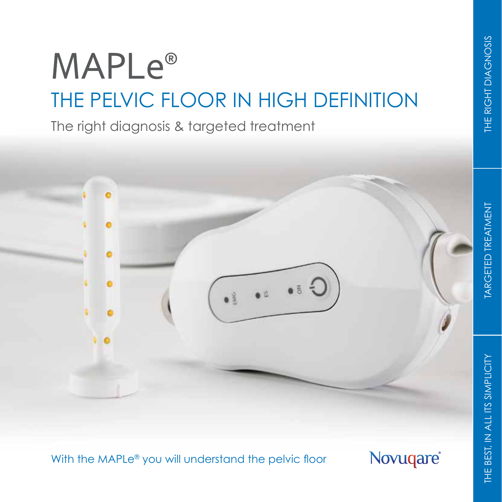# **MAPLe®** THE PELVIC FLOOR IN HIGH DEFINITION

The right diagnosis & targeted treatment



With the MAPLe<sup>®</sup> you will understand the pelvic floor

Novuqare®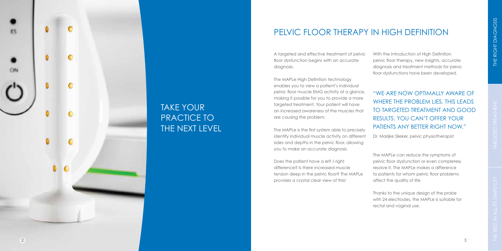A targeted and effective treatment of pelvic floor dysfunction begins with an accurate diagnosis.

The MAPLe High Definition technology enables you to view a patient's individual pelvic floor muscle EMG activity at a glance, making it possible for you to provide a more targeted treatment. Your patient will have an increased awareness of the muscles that are causing the problem.

The MAPLe is the first system able to precisely identify individual muscle activity on different sides and depths in the pelvic floor, allowing you to make an accurate diagnosis.

Does the patient have a left / right difference? Is there increased muscle tension deep in the pelvic floor? The MAPLe provides a crystal clear view of this!

With the introduction of High Definition pelvic floor therapy, new insights, accurate diagnosis and treatment methods for pelvic floor dysfunctions have been developed.

"WE ARE NOW OPTIMALLY AWARE OF WHERE THE PROBLEM LIES. THIS LEADS TO TARGETED TREATMENT AND GOOD RESULTS. YOU CAN'T OFFER YOUR PATIENTS ANY BETTER RIGHT NOW."

Dr. Marijke Slieker, pelvic physiotherapist

The MAPLe can reduce the symptoms of pelvic floor dysfunction or even completely resolve it. The MAPLe makes a difference to patients for whom pelvic floor problems affect the quality of life.

Thanks to the unique design of the probe with 24 electrodes, the MAPLe is suitable for rectal and vaginal use.

# PELVIC FLOOR THERAPY IN HIGH DEFINITION



## TAKE YOUR PRACTICE TO THE NEXT LEVEL

2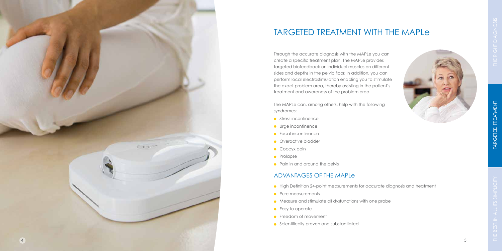Through the accurate diagnosis with the MAPLe you can create a specific treatment plan. The MAPLe provides targeted biofeedback on individual muscles on different sides and depths in the pelvic floor. In addition, you can perform local electrostimulation enabling you to stimulate the exact problem area, thereby assisting in the patient's treatment and awareness of the problem area.

The MAPLe can, among others, help with the following syndromes:

- **Stress incontinence**
- **Urge incontinence**
- **•** Fecal incontinence
- **Overactive bladder**
- Coccyx pain
- Prolapse
- Pain in and around the pelvis

## TARGETED TREATMENT WITH THE MAPLe

### ADVANTAGES OF THE MAPLe

- **•** High Definition 24-point measurements for accurate diagnosis and treatment
- Pure measurements
- Measure and stimulate all dysfunctions with one probe
- **Easy to operate**
- **•** Freedom of movement
- **•** Scientifically proven and substantiated



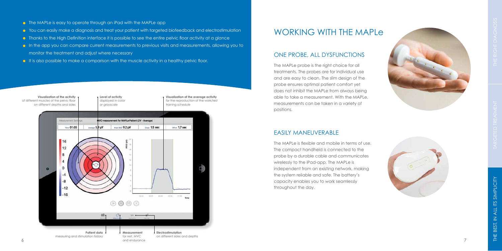- **C** The MAPLe is easy to operate through an iPad with the MAPLe app
- You can easily make a diagnosis and treat your patient with targeted biofeedback and electrostimulation
- **•** Thanks to the High Definition interface it is possible to see the entire pelvic floor activity at a glance
- In the app you can compare current measurements to previous visits and measurements, allowing you to monitor the treatment and adjust where necessary
- **It is also possible to make a comparison with the muscle activity in a healthy pelvic floor.**



#### ONE PROBE, ALL DYSFUNCTIONS

The MAPLe probe is the right choice for all treatments. The probes are for individual use and are easy to clean. The slim design of the probe ensures optimal patient comfort yet does not inhibit the MAPLe from always being able to take a measurement. With the MAPLe, measurements can be taken in a variety of positions.

#### EASILY MANEUVERABLE





The MAPLe is flexible and mobile in terms of use. The compact handheld is connected to the probe by a durable cable and communicates wirelessly to the iPad-app. The MAPLe is independent from an existing network, making the system reliable and safe. The battery's capacity enables you to work seamlessly throughout the day.



## WORKING WITH THE MAPLe